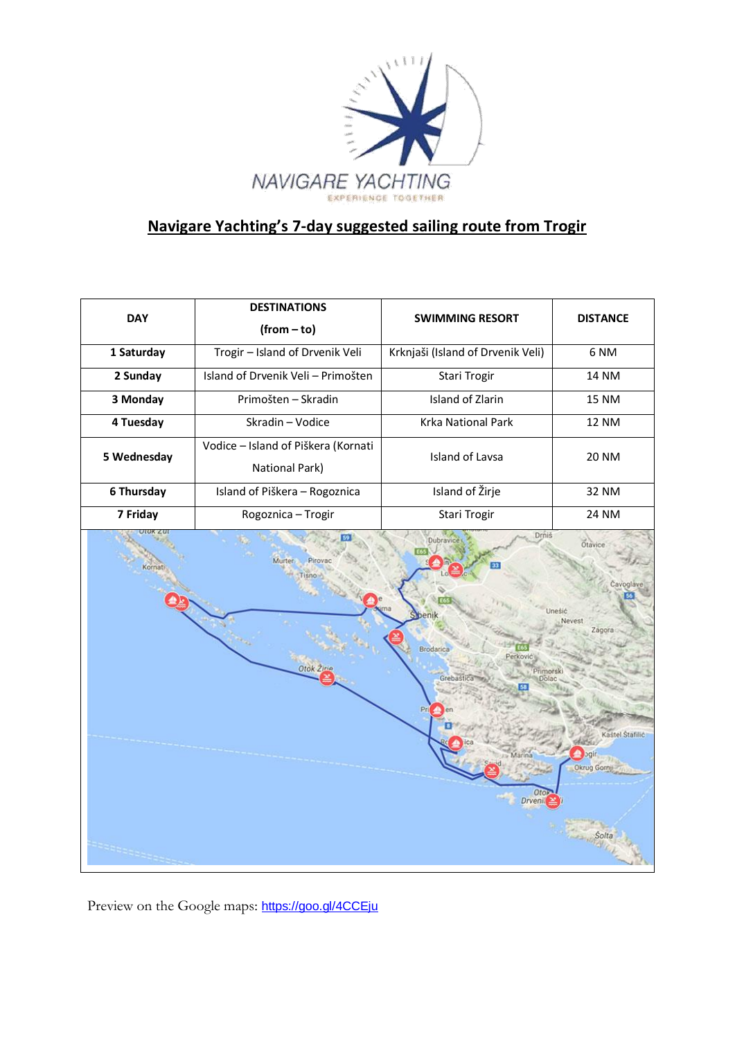

# **Navigare Yachting's 7-day suggested sailing route from Trogir**

| <b>DAY</b>  | <b>DESTINATIONS</b><br>$(from-to)$                    | <b>SWIMMING RESORT</b>                                                                                       | <b>DISTANCE</b>                                                                            |
|-------------|-------------------------------------------------------|--------------------------------------------------------------------------------------------------------------|--------------------------------------------------------------------------------------------|
| 1 Saturday  | Trogir - Island of Drvenik Veli                       | Krknjaši (Island of Drvenik Veli)                                                                            | 6 <sub>NM</sub>                                                                            |
| 2 Sunday    | Island of Drvenik Veli - Primošten                    | Stari Trogir                                                                                                 | <b>14 NM</b>                                                                               |
| 3 Monday    | Primošten - Skradin                                   | Island of Zlarin                                                                                             | <b>15 NM</b>                                                                               |
| 4 Tuesday   | Skradin - Vodice                                      | Krka National Park                                                                                           | <b>12 NM</b>                                                                               |
| 5 Wednesday | Vodice - Island of Piškera (Kornati<br>National Park) | <b>Island of Lavsa</b>                                                                                       | <b>20 NM</b>                                                                               |
| 6 Thursday  | Island of Piškera - Rogoznica                         | Island of Žirje                                                                                              | 32 NM                                                                                      |
| 7 Friday    | Rogoznica - Trogir                                    | Stari Trogir                                                                                                 | <b>24 NM</b>                                                                               |
| Kornati     | <b>Murter</b><br>Pirova<br>Otok <sub>2</sub>          | Drniš<br>Dubravice<br>beni<br>Brodarica<br>Perković<br>Primor<br>Grebašti<br>Marina<br>Oto<br><b>Drvenil</b> | Otavice<br>Cavoglave<br><b>Jnesic</b><br>Nevest<br>Zagora<br>Kastel Stafilić<br>Okrug Gorn |

Preview on the Google maps: <https://goo.gl/4CCEju>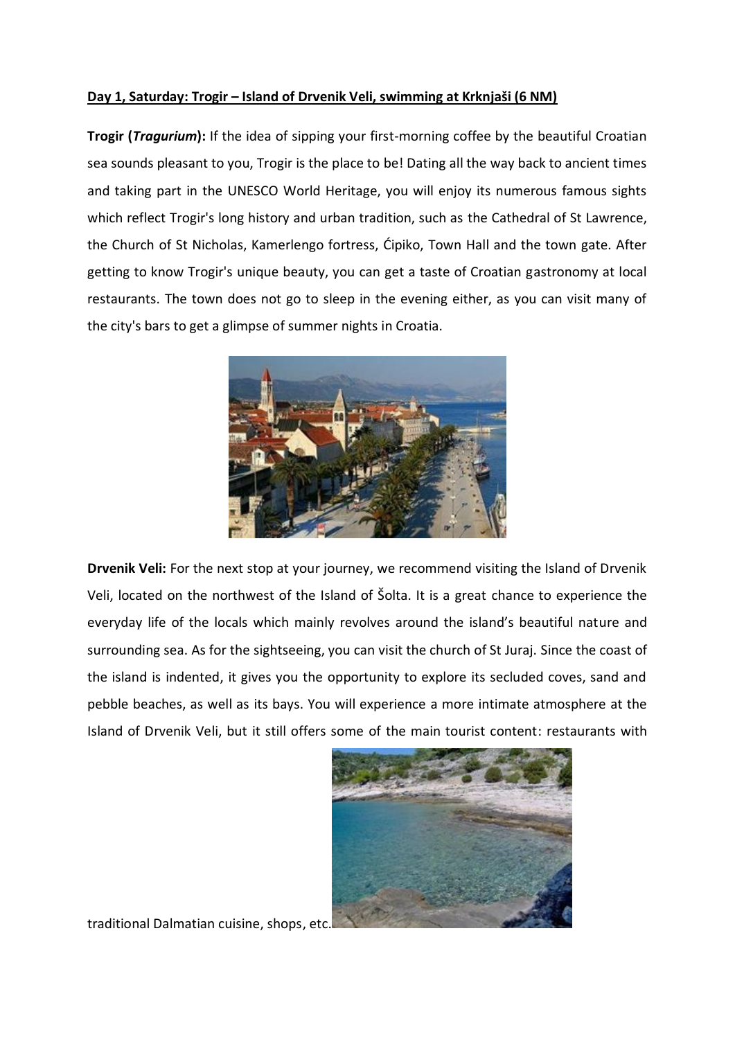## **Day 1, Saturday: Trogir – Island of Drvenik Veli, swimming at Krknjaši (6 NM)**

**Trogir (***Tragurium***):** If the idea of sipping your first-morning coffee by the beautiful Croatian sea sounds pleasant to you, Trogir is the place to be! Dating all the way back to ancient times and taking part in the UNESCO World Heritage, you will enjoy its numerous famous sights which reflect Trogir's long history and urban tradition, such as the Cathedral of St Lawrence, the Church of St Nicholas, Kamerlengo fortress, Ćipiko, Town Hall and the town gate. After getting to know Trogir's unique beauty, you can get a taste of Croatian gastronomy at local restaurants. The town does not go to sleep in the evening either, as you can visit many of the city's bars to get a glimpse of summer nights in Croatia.



**Drvenik Veli:** For the next stop at your journey, we recommend visiting the Island of Drvenik Veli, located on the northwest of the Island of Šolta. It is a great chance to experience the everyday life of the locals which mainly revolves around the island's beautiful nature and surrounding sea. As for the sightseeing, you can visit the church of St Juraj. Since the coast of the island is indented, it gives you the opportunity to explore its secluded coves, sand and pebble beaches, as well as its bays. You will experience a more intimate atmosphere at the Island of Drvenik Veli, but it still offers some of the main tourist content: restaurants with



traditional Dalmatian cuisine, shops, etc.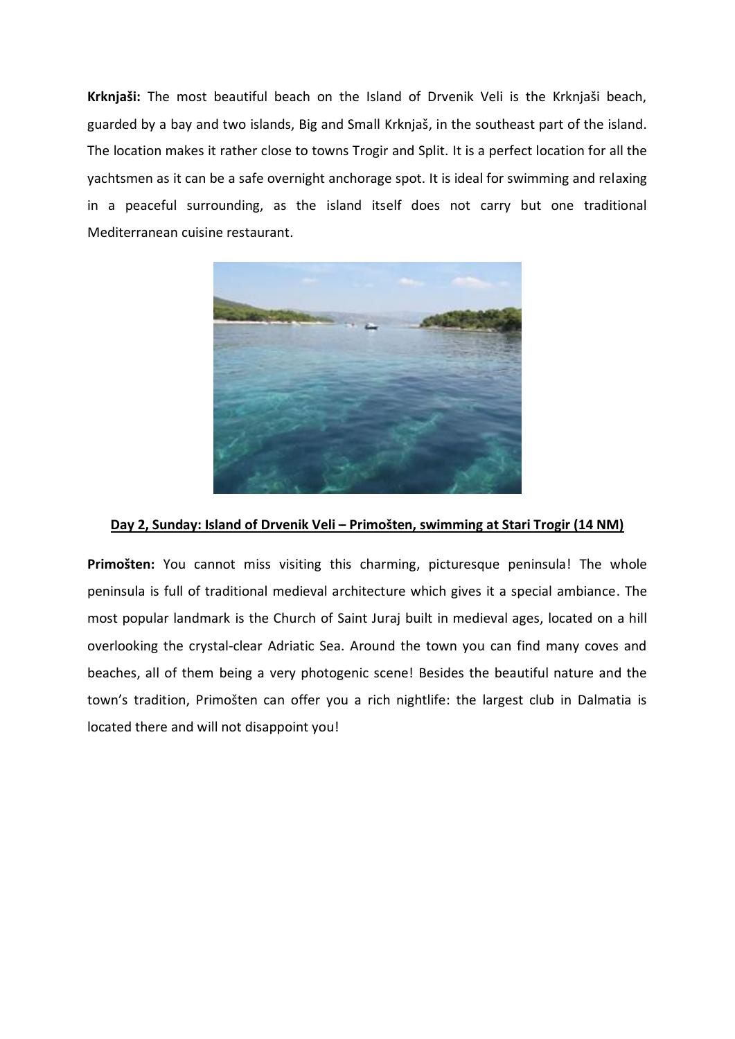**Krknjaši:** The most beautiful beach on the Island of Drvenik Veli is the Krknjaši beach, guarded by a bay and two islands, Big and Small Krknjaš, in the southeast part of the island. The location makes it rather close to towns Trogir and Split. It is a perfect location for all the yachtsmen as it can be a safe overnight anchorage spot. It is ideal for swimming and relaxing in a peaceful surrounding, as the island itself does not carry but one traditional Mediterranean cuisine restaurant.



#### **Day 2, Sunday: Island of Drvenik Veli – Primošten, swimming at Stari Trogir (14 NM)**

**Primošten:** You cannot miss visiting this charming, picturesque peninsula! The whole peninsula is full of traditional medieval architecture which gives it a special ambiance. The most popular landmark is the Church of Saint Juraj built in medieval ages, located on a hill overlooking the crystal-clear Adriatic Sea. Around the town you can find many coves and beaches, all of them being a very photogenic scene! Besides the beautiful nature and the town's tradition, Primošten can offer you a rich nightlife: the largest club in Dalmatia is located there and will not disappoint you!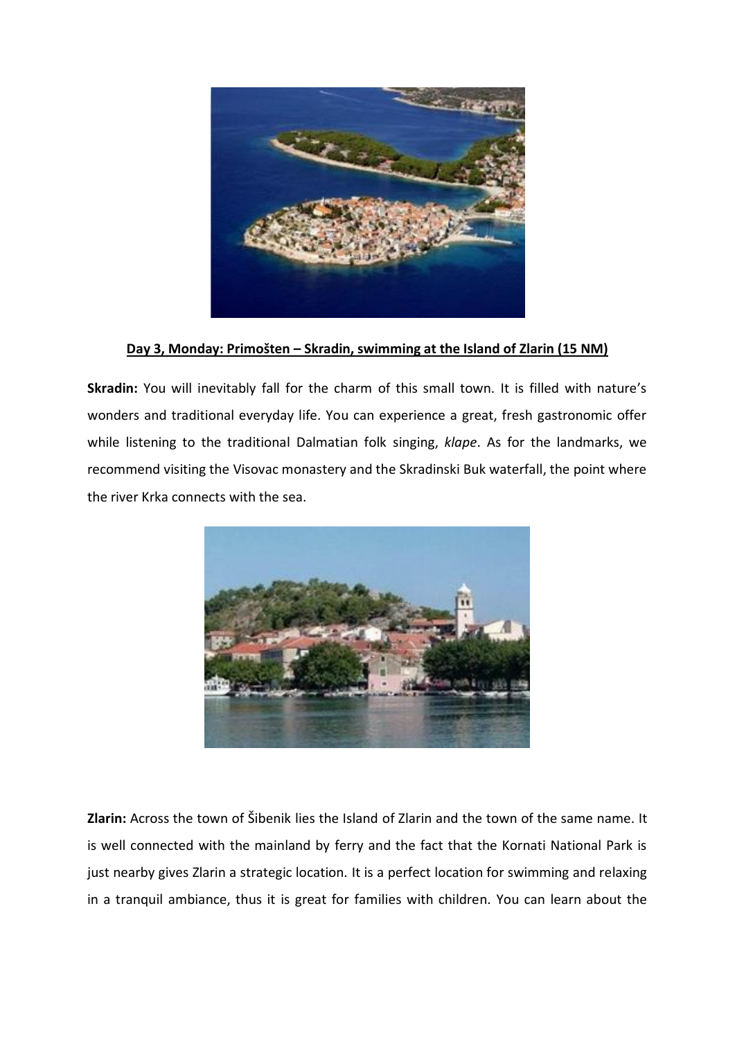

**Day 3, Monday: Primošten – Skradin, swimming at the Island of Zlarin (15 NM)**

**Skradin:** You will inevitably fall for the charm of this small town. It is filled with nature's wonders and traditional everyday life. You can experience a great, fresh gastronomic offer while listening to the traditional Dalmatian folk singing, *klape*. As for the landmarks, we recommend visiting the Visovac monastery and the Skradinski Buk waterfall, the point where the river Krka connects with the sea.



**Zlarin:** Across the town of Šibenik lies the Island of Zlarin and the town of the same name. It is well connected with the mainland by ferry and the fact that the Kornati National Park is just nearby gives Zlarin a strategic location. It is a perfect location for swimming and relaxing in a tranquil ambiance, thus it is great for families with children. You can learn about the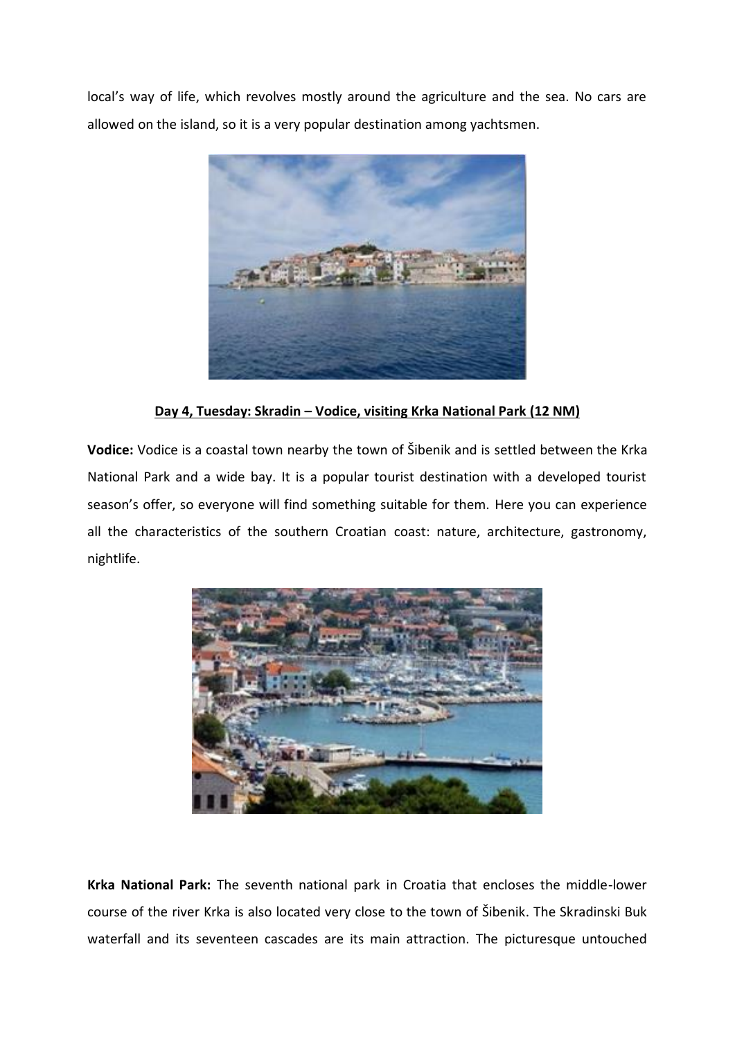local's way of life, which revolves mostly around the agriculture and the sea. No cars are allowed on the island, so it is a very popular destination among yachtsmen.



**Day 4, Tuesday: Skradin – Vodice, visiting Krka National Park (12 NM)**

**Vodice:** Vodice is a coastal town nearby the town of Šibenik and is settled between the Krka National Park and a wide bay. It is a popular tourist destination with a developed tourist season's offer, so everyone will find something suitable for them. Here you can experience all the characteristics of the southern Croatian coast: nature, architecture, gastronomy, nightlife.



**Krka National Park:** The seventh national park in Croatia that encloses the middle-lower course of the river Krka is also located very close to the town of Šibenik. The Skradinski Buk waterfall and its seventeen cascades are its main attraction. The picturesque untouched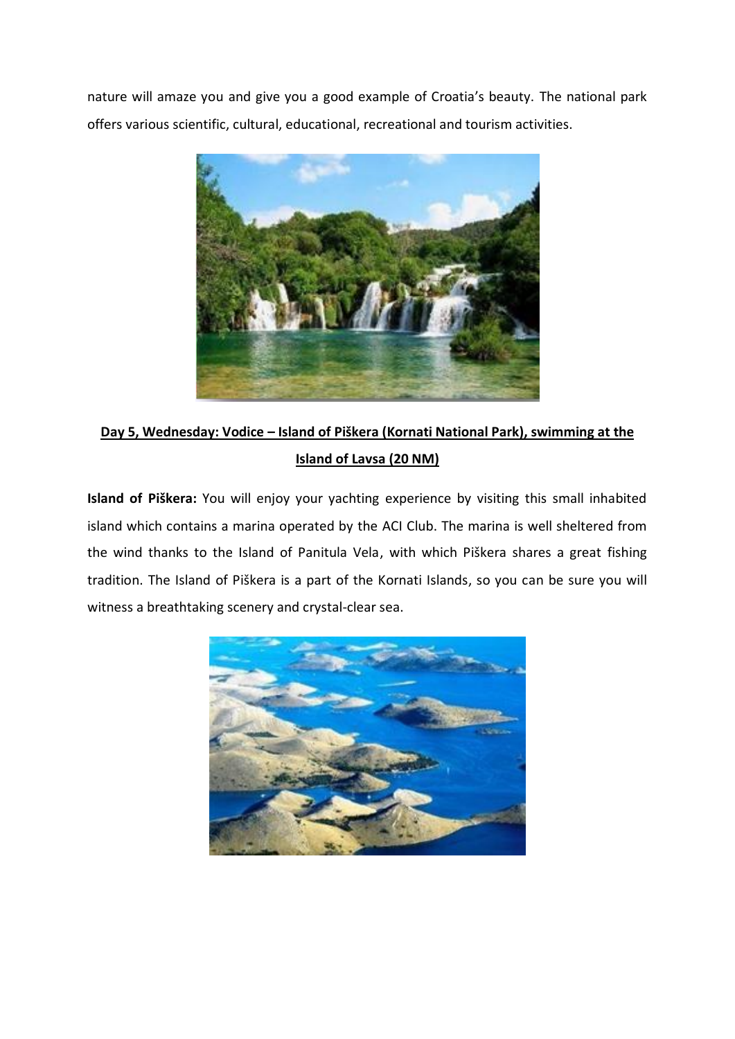nature will amaze you and give you a good example of Croatia's beauty. The national park offers various scientific, cultural, educational, recreational and tourism activities.



## **Day 5, Wednesday: Vodice – Island of Piškera (Kornati National Park), swimming at the Island of Lavsa (20 NM)**

**Island of Piškera:** You will enjoy your yachting experience by visiting this small inhabited island which contains a marina operated by the ACI Club. The marina is well sheltered from the wind thanks to the Island of Panitula Vela, with which Piškera shares a great fishing tradition. The Island of Piškera is a part of the Kornati Islands, so you can be sure you will witness a breathtaking scenery and crystal-clear sea.

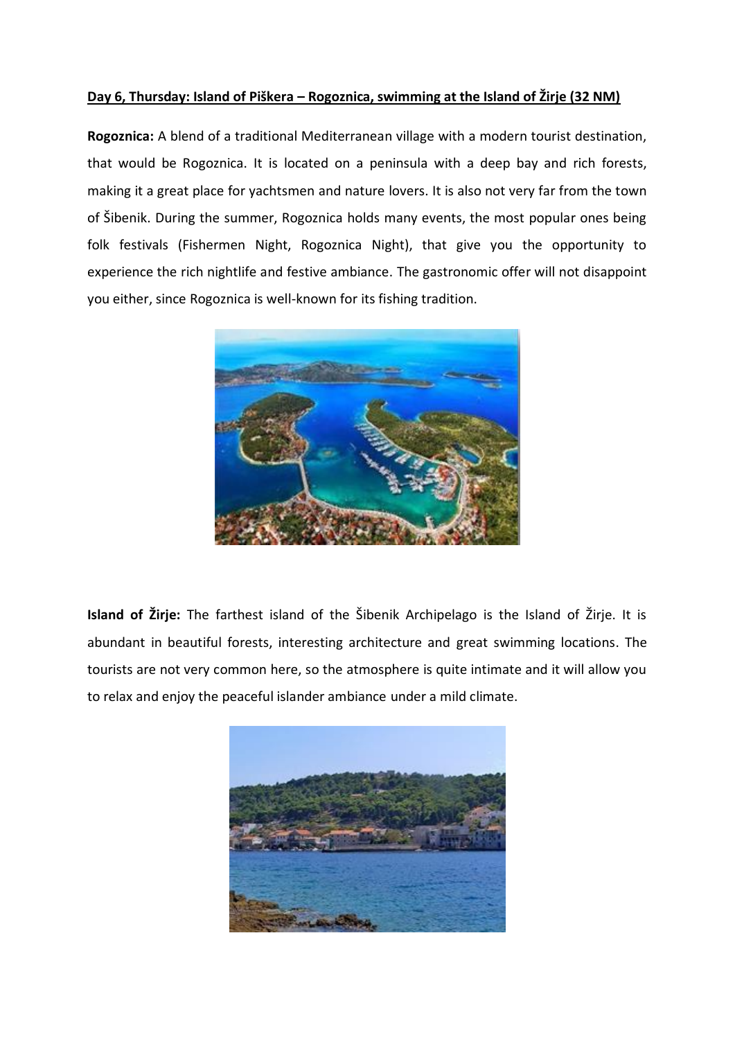### **Day 6, Thursday: Island of Piškera – Rogoznica, swimming at the Island of Žirje (32 NM)**

**Rogoznica:** A blend of a traditional Mediterranean village with a modern tourist destination, that would be Rogoznica. It is located on a peninsula with a deep bay and rich forests, making it a great place for yachtsmen and nature lovers. It is also not very far from the town of Šibenik. During the summer, Rogoznica holds many events, the most popular ones being folk festivals (Fishermen Night, Rogoznica Night), that give you the opportunity to experience the rich nightlife and festive ambiance. The gastronomic offer will not disappoint you either, since Rogoznica is well-known for its fishing tradition.



**Island of Žirje:** The farthest island of the Šibenik Archipelago is the Island of Žirje. It is abundant in beautiful forests, interesting architecture and great swimming locations. The tourists are not very common here, so the atmosphere is quite intimate and it will allow you to relax and enjoy the peaceful islander ambiance under a mild climate.